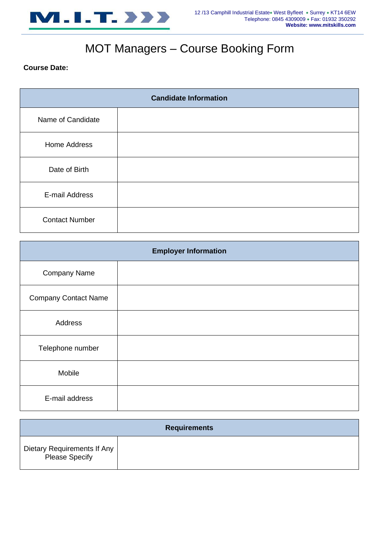

# MOT Managers – Course Booking Form

### **Course Date:**

| <b>Candidate Information</b> |  |
|------------------------------|--|
| Name of Candidate            |  |
| Home Address                 |  |
| Date of Birth                |  |
| E-mail Address               |  |
| <b>Contact Number</b>        |  |

| <b>Employer Information</b> |  |
|-----------------------------|--|
| <b>Company Name</b>         |  |
| <b>Company Contact Name</b> |  |
| Address                     |  |
| Telephone number            |  |
| Mobile                      |  |
| E-mail address              |  |

| <b>Requirements</b>                                  |  |  |
|------------------------------------------------------|--|--|
| Dietary Requirements If Any<br><b>Please Specify</b> |  |  |